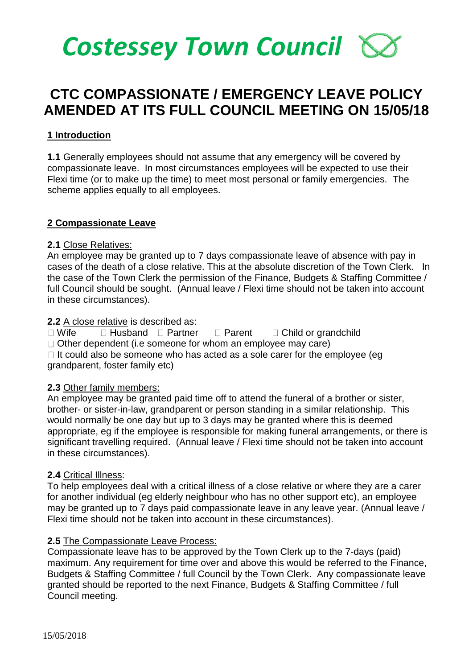# *Costessey Town Council*

# **CTC COMPASSIONATE / EMERGENCY LEAVE POLICY AMENDED AT ITS FULL COUNCIL MEETING ON 15/05/18**

# **1 Introduction**

**1.1** Generally employees should not assume that any emergency will be covered by compassionate leave. In most circumstances employees will be expected to use their Flexi time (or to make up the time) to meet most personal or family emergencies. The scheme applies equally to all employees.

# **2 Compassionate Leave**

# **2.1** Close Relatives:

An employee may be granted up to 7 days compassionate leave of absence with pay in cases of the death of a close relative. This at the absolute discretion of the Town Clerk. In the case of the Town Clerk the permission of the Finance, Budgets & Staffing Committee / full Council should be sought. (Annual leave / Flexi time should not be taken into account in these circumstances).

#### **2.2** A close relative is described as:

 $\Box$  Wife  $\Box$  Husband  $\Box$  Partner  $\Box$  Parent  $\Box$  Child or grandchild

 $\Box$  Other dependent (i.e someone for whom an employee may care)

 $\Box$  It could also be someone who has acted as a sole carer for the employee (eq grandparent, foster family etc)

# **2.3** Other family members:

An employee may be granted paid time off to attend the funeral of a brother or sister, brother- or sister-in-law, grandparent or person standing in a similar relationship. This would normally be one day but up to 3 days may be granted where this is deemed appropriate, eg if the employee is responsible for making funeral arrangements, or there is significant travelling required. (Annual leave / Flexi time should not be taken into account in these circumstances).

# **2.4** Critical Illness:

To help employees deal with a critical illness of a close relative or where they are a carer for another individual (eg elderly neighbour who has no other support etc), an employee may be granted up to 7 days paid compassionate leave in any leave year. (Annual leave / Flexi time should not be taken into account in these circumstances).

#### **2.5** The Compassionate Leave Process:

Compassionate leave has to be approved by the Town Clerk up to the 7-days (paid) maximum. Any requirement for time over and above this would be referred to the Finance, Budgets & Staffing Committee / full Council by the Town Clerk. Any compassionate leave granted should be reported to the next Finance, Budgets & Staffing Committee / full Council meeting.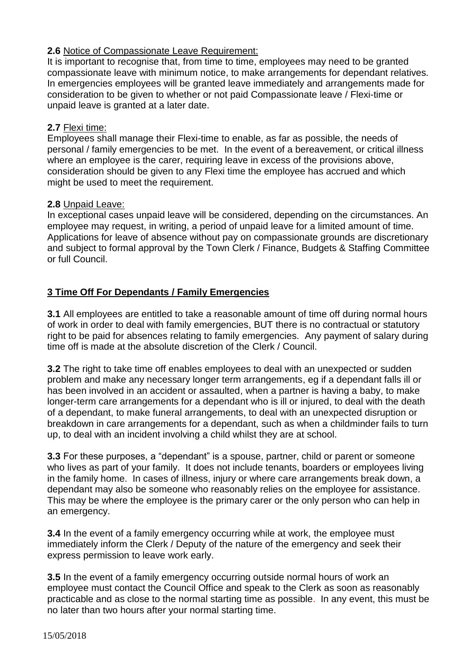# **2.6** Notice of Compassionate Leave Requirement:

It is important to recognise that, from time to time, employees may need to be granted compassionate leave with minimum notice, to make arrangements for dependant relatives. In emergencies employees will be granted leave immediately and arrangements made for consideration to be given to whether or not paid Compassionate leave / Flexi-time or unpaid leave is granted at a later date.

# **2.7** Flexi time:

Employees shall manage their Flexi-time to enable, as far as possible, the needs of personal / family emergencies to be met. In the event of a bereavement, or critical illness where an employee is the carer, requiring leave in excess of the provisions above, consideration should be given to any Flexi time the employee has accrued and which might be used to meet the requirement.

# **2.8** Unpaid Leave:

In exceptional cases unpaid leave will be considered, depending on the circumstances. An employee may request, in writing, a period of unpaid leave for a limited amount of time. Applications for leave of absence without pay on compassionate grounds are discretionary and subject to formal approval by the Town Clerk / Finance, Budgets & Staffing Committee or full Council.

# **3 Time Off For Dependants / Family Emergencies**

**3.1** All employees are entitled to take a reasonable amount of time off during normal hours of work in order to deal with family emergencies, BUT there is no contractual or statutory right to be paid for absences relating to family emergencies. Any payment of salary during time off is made at the absolute discretion of the Clerk / Council.

**3.2** The right to take time off enables employees to deal with an unexpected or sudden problem and make any necessary longer term arrangements, eg if a dependant falls ill or has been involved in an accident or assaulted, when a partner is having a baby, to make longer-term care arrangements for a dependant who is ill or injured, to deal with the death of a dependant, to make funeral arrangements, to deal with an unexpected disruption or breakdown in care arrangements for a dependant, such as when a childminder fails to turn up, to deal with an incident involving a child whilst they are at school.

**3.3** For these purposes, a "dependant" is a spouse, partner, child or parent or someone who lives as part of your family. It does not include tenants, boarders or employees living in the family home. In cases of illness, injury or where care arrangements break down, a dependant may also be someone who reasonably relies on the employee for assistance. This may be where the employee is the primary carer or the only person who can help in an emergency.

**3.4** In the event of a family emergency occurring while at work, the employee must immediately inform the Clerk / Deputy of the nature of the emergency and seek their express permission to leave work early.

**3.5** In the event of a family emergency occurring outside normal hours of work an employee must contact the Council Office and speak to the Clerk as soon as reasonably practicable and as close to the normal starting time as possible. In any event, this must be no later than two hours after your normal starting time.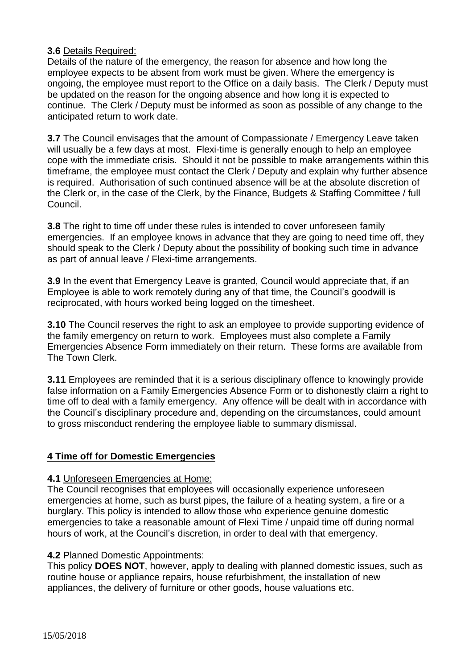# **3.6** Details Required:

Details of the nature of the emergency, the reason for absence and how long the employee expects to be absent from work must be given. Where the emergency is ongoing, the employee must report to the Office on a daily basis. The Clerk / Deputy must be updated on the reason for the ongoing absence and how long it is expected to continue. The Clerk / Deputy must be informed as soon as possible of any change to the anticipated return to work date.

**3.7** The Council envisages that the amount of Compassionate / Emergency Leave taken will usually be a few days at most. Flexi-time is generally enough to help an employee cope with the immediate crisis. Should it not be possible to make arrangements within this timeframe, the employee must contact the Clerk / Deputy and explain why further absence is required. Authorisation of such continued absence will be at the absolute discretion of the Clerk or, in the case of the Clerk, by the Finance, Budgets & Staffing Committee / full Council.

**3.8** The right to time off under these rules is intended to cover unforeseen family emergencies. If an employee knows in advance that they are going to need time off, they should speak to the Clerk / Deputy about the possibility of booking such time in advance as part of annual leave / Flexi-time arrangements.

**3.9** In the event that Emergency Leave is granted, Council would appreciate that, if an Employee is able to work remotely during any of that time, the Council's goodwill is reciprocated, with hours worked being logged on the timesheet.

**3.10** The Council reserves the right to ask an employee to provide supporting evidence of the family emergency on return to work. Employees must also complete a Family Emergencies Absence Form immediately on their return. These forms are available from The Town Clerk.

**3.11** Employees are reminded that it is a serious disciplinary offence to knowingly provide false information on a Family Emergencies Absence Form or to dishonestly claim a right to time off to deal with a family emergency. Any offence will be dealt with in accordance with the Council's disciplinary procedure and, depending on the circumstances, could amount to gross misconduct rendering the employee liable to summary dismissal.

# **4 Time off for Domestic Emergencies**

# **4.1** Unforeseen Emergencies at Home:

The Council recognises that employees will occasionally experience unforeseen emergencies at home, such as burst pipes, the failure of a heating system, a fire or a burglary. This policy is intended to allow those who experience genuine domestic emergencies to take a reasonable amount of Flexi Time / unpaid time off during normal hours of work, at the Council's discretion, in order to deal with that emergency.

# **4.2** Planned Domestic Appointments:

This policy **DOES NOT**, however, apply to dealing with planned domestic issues, such as routine house or appliance repairs, house refurbishment, the installation of new appliances, the delivery of furniture or other goods, house valuations etc.